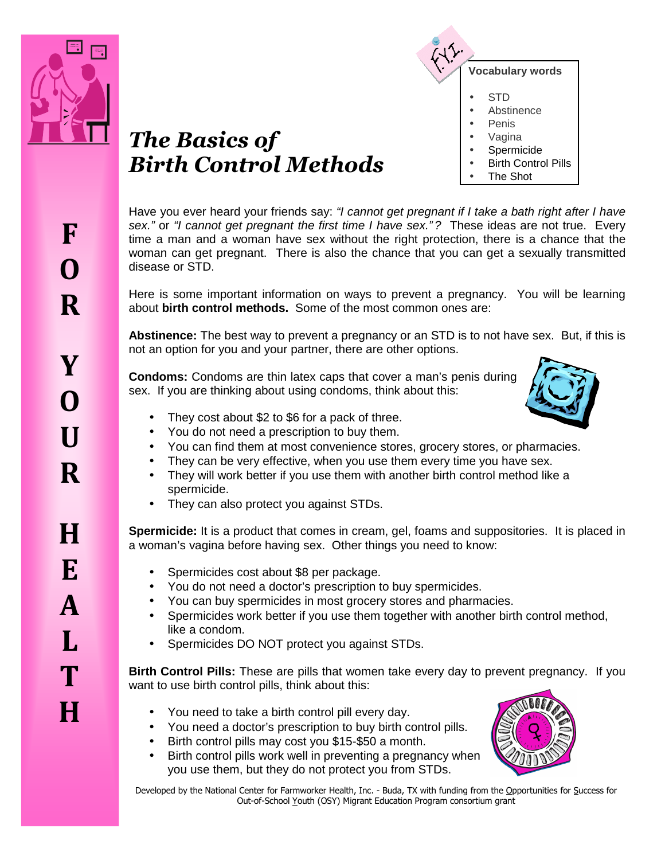

**F** 



**Vocabulary words**  • STD • Abstinence • Penis • Vagina **Spermicide Birth Control Pills** • The Shot

Have you ever heard your friends say: "I cannot get pregnant if I take a bath right after I have sex." or "I cannot get pregnant the first time I have sex."? These ideas are not true. Every time a man and a woman have sex without the right protection, there is a chance that the woman can get pregnant. There is also the chance that you can get a sexually transmitted disease or STD.

Here is some important information on ways to prevent a pregnancy. You will be learning about **birth control methods.** Some of the most common ones are:

**Abstinence:** The best way to prevent a pregnancy or an STD is to not have sex. But, if this is not an option for you and your partner, there are other options.

**Condoms:** Condoms are thin latex caps that cover a man's penis during sex. If you are thinking about using condoms, think about this:



- They cost about \$2 to \$6 for a pack of three.
- You do not need a prescription to buy them.
- You can find them at most convenience stores, grocery stores, or pharmacies.
- They can be very effective, when you use them every time you have sex.
- They will work better if you use them with another birth control method like a spermicide.
- They can also protect you against STDs.

**Spermicide:** It is a product that comes in cream, gel, foams and suppositories. It is placed in a woman's vagina before having sex. Other things you need to know:

- Spermicides cost about \$8 per package.
- You do not need a doctor's prescription to buy spermicides.
- You can buy spermicides in most grocery stores and pharmacies.
- Spermicides work better if you use them together with another birth control method, like a condom.
- Spermicides DO NOT protect you against STDs.

**Birth Control Pills:** These are pills that women take every day to prevent pregnancy. If you want to use birth control pills, think about this:

- You need to take a birth control pill every day.
- You need a doctor's prescription to buy birth control pills.
- Birth control pills may cost you \$15-\$50 a month.
- Birth control pills work well in preventing a pregnancy when you use them, but they do not protect you from STDs.



Developed by the National Center for Farmworker Health, Inc. - Buda, TX with funding from the Opportunities for Success for Out-of-School Youth (OSY) Migrant Education Program consortium grant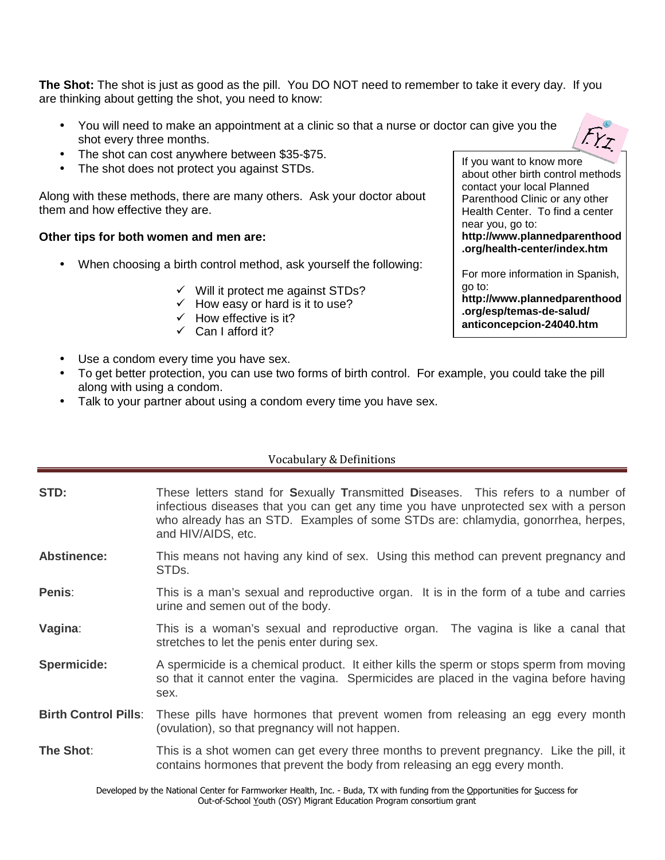**The Shot:** The shot is just as good as the pill. You DO NOT need to remember to take it every day. If you are thinking about getting the shot, you need to know:

- You will need to make an appointment at a clinic so that a nurse or doctor can give you the shot every three months.
- The shot can cost anywhere between \$35-\$75.
- The shot does not protect you against STDs.

Along with these methods, there are many others. Ask your doctor about them and how effective they are.

#### **Other tips for both women and men are:**

- When choosing a birth control method, ask yourself the following:
	- $\checkmark$  Will it protect me against STDs?
	- $\checkmark$  How easy or hard is it to use?
	- $\checkmark$  How effective is it?
	- $\checkmark$  Can I afford it?
- Use a condom every time you have sex.
- To get better protection, you can use two forms of birth control. For example, you could take the pill along with using a condom.
- Talk to your partner about using a condom every time you have sex.

#### Vocabulary & Definitions

| STD:                        | These letters stand for Sexually Transmitted Diseases. This refers to a number of<br>infectious diseases that you can get any time you have unprotected sex with a person<br>who already has an STD. Examples of some STDs are: chlamydia, gonorrhea, herpes,<br>and HIV/AIDS, etc. |
|-----------------------------|-------------------------------------------------------------------------------------------------------------------------------------------------------------------------------------------------------------------------------------------------------------------------------------|
| <b>Abstinence:</b>          | This means not having any kind of sex. Using this method can prevent pregnancy and<br>STDs.                                                                                                                                                                                         |
| Penis:                      | This is a man's sexual and reproductive organ. It is in the form of a tube and carries<br>urine and semen out of the body.                                                                                                                                                          |
| Vagina:                     | This is a woman's sexual and reproductive organ. The vagina is like a canal that<br>stretches to let the penis enter during sex.                                                                                                                                                    |
| Spermicide:                 | A spermicide is a chemical product. It either kills the sperm or stops sperm from moving<br>so that it cannot enter the vagina. Spermicides are placed in the vagina before having<br>sex.                                                                                          |
| <b>Birth Control Pills:</b> | These pills have hormones that prevent women from releasing an egg every month<br>(ovulation), so that pregnancy will not happen.                                                                                                                                                   |
| The Shot:                   | This is a shot women can get every three months to prevent pregnancy. Like the pill, it<br>contains hormones that prevent the body from releasing an egg every month.                                                                                                               |
|                             | Developed by the National Center for Earmworker Health Inc. - Ruda, TV with funding from the Opportunities for Success for                                                                                                                                                          |

If you want to know more contact your local Planned

about other birth control methods, Parenthood Clinic or any other Health Center. To find a center near you, go to:

**http://www.plannedparenthood .org/health-center/index.htm** 

For more information in Spanish, go to:

**http://www.plannedparenthood .org/esp/temas-de-salud/ anticoncepcion-24040.htm** 

alth, Inc. - Buda, TX with funding from the Opportunities for Success for Out-of-School Youth (OSY) Migrant Education Program consortium grant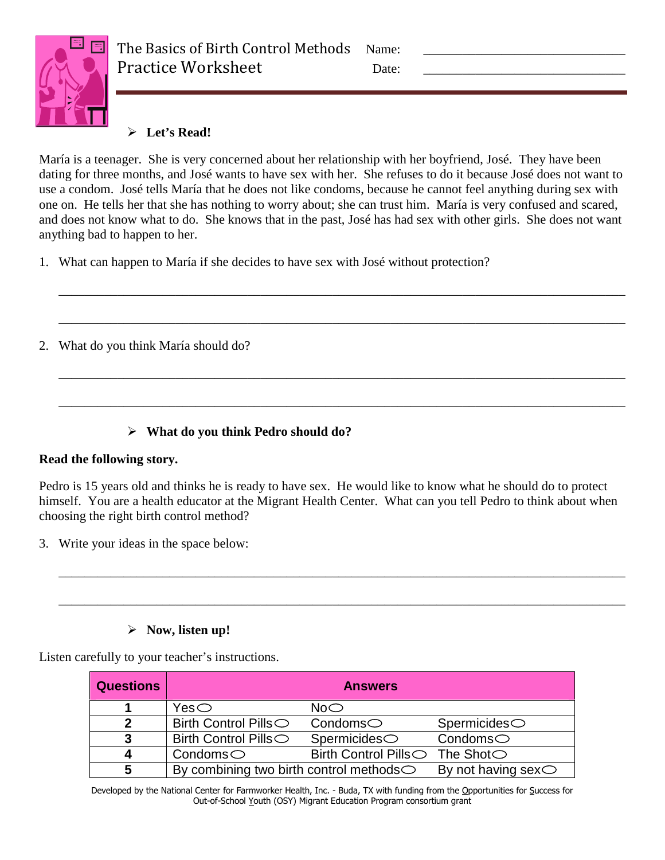

## **Let's Read!**

María is a teenager. She is very concerned about her relationship with her boyfriend, José. They have been dating for three months, and José wants to have sex with her. She refuses to do it because José does not want to use a condom. José tells María that he does not like condoms, because he cannot feel anything during sex with one on. He tells her that she has nothing to worry about; she can trust him. María is very confused and scared, and does not know what to do. She knows that in the past, José has had sex with other girls. She does not want anything bad to happen to her.

\_\_\_\_\_\_\_\_\_\_\_\_\_\_\_\_\_\_\_\_\_\_\_\_\_\_\_\_\_\_\_\_\_\_\_\_\_\_\_\_\_\_\_\_\_\_\_\_\_\_\_\_\_\_\_\_\_\_\_\_\_\_\_\_\_\_\_\_\_\_\_\_\_\_\_\_\_\_\_\_\_\_\_\_\_\_\_

\_\_\_\_\_\_\_\_\_\_\_\_\_\_\_\_\_\_\_\_\_\_\_\_\_\_\_\_\_\_\_\_\_\_\_\_\_\_\_\_\_\_\_\_\_\_\_\_\_\_\_\_\_\_\_\_\_\_\_\_\_\_\_\_\_\_\_\_\_\_\_\_\_\_\_\_\_\_\_\_\_\_\_\_\_\_\_

\_\_\_\_\_\_\_\_\_\_\_\_\_\_\_\_\_\_\_\_\_\_\_\_\_\_\_\_\_\_\_\_\_\_\_\_\_\_\_\_\_\_\_\_\_\_\_\_\_\_\_\_\_\_\_\_\_\_\_\_\_\_\_\_\_\_\_\_\_\_\_\_\_\_\_\_\_\_\_\_\_\_\_\_\_\_\_

\_\_\_\_\_\_\_\_\_\_\_\_\_\_\_\_\_\_\_\_\_\_\_\_\_\_\_\_\_\_\_\_\_\_\_\_\_\_\_\_\_\_\_\_\_\_\_\_\_\_\_\_\_\_\_\_\_\_\_\_\_\_\_\_\_\_\_\_\_\_\_\_\_\_\_\_\_\_\_\_\_\_\_\_\_\_\_

1. What can happen to María if she decides to have sex with José without protection?

2. What do you think María should do?

## **What do you think Pedro should do?**

### **Read the following story.**

Pedro is 15 years old and thinks he is ready to have sex. He would like to know what he should do to protect himself. You are a health educator at the Migrant Health Center. What can you tell Pedro to think about when choosing the right birth control method?

\_\_\_\_\_\_\_\_\_\_\_\_\_\_\_\_\_\_\_\_\_\_\_\_\_\_\_\_\_\_\_\_\_\_\_\_\_\_\_\_\_\_\_\_\_\_\_\_\_\_\_\_\_\_\_\_\_\_\_\_\_\_\_\_\_\_\_\_\_\_\_\_\_\_\_\_\_\_\_\_\_\_\_\_\_\_\_

\_\_\_\_\_\_\_\_\_\_\_\_\_\_\_\_\_\_\_\_\_\_\_\_\_\_\_\_\_\_\_\_\_\_\_\_\_\_\_\_\_\_\_\_\_\_\_\_\_\_\_\_\_\_\_\_\_\_\_\_\_\_\_\_\_\_\_\_\_\_\_\_\_\_\_\_\_\_\_\_\_\_\_\_\_\_\_

3. Write your ideas in the space below:

## **Now, listen up!**

Listen carefully to your teacher's instructions.

| <b>Questions</b> |                                                   | <b>Answers</b>                   |                                       |
|------------------|---------------------------------------------------|----------------------------------|---------------------------------------|
|                  | Yes $\circlearrowright$                           | No <sub>o</sub>                  |                                       |
| 2                | Birth Control Pills $\bigcirc$                    | $\complement$ Condoms $\bigcirc$ | $Sperm$ cides $\circlearrowright$     |
| 3                | Birth Control Pills○                              | $Sperm$ icides $\bigcirc$        | $\complement$ Condoms $\bigcirc$      |
|                  | $\text{Condoms} \bigcirc$                         | Birth Control Pills○ The Shot○   |                                       |
| 5                | By combining two birth control methods $\bigcirc$ |                                  | By not having sex $\circlearrowright$ |

Developed by the National Center for Farmworker Health, Inc. - Buda, TX with funding from the Opportunities for Success for Out-of-School Youth (OSY) Migrant Education Program consortium grant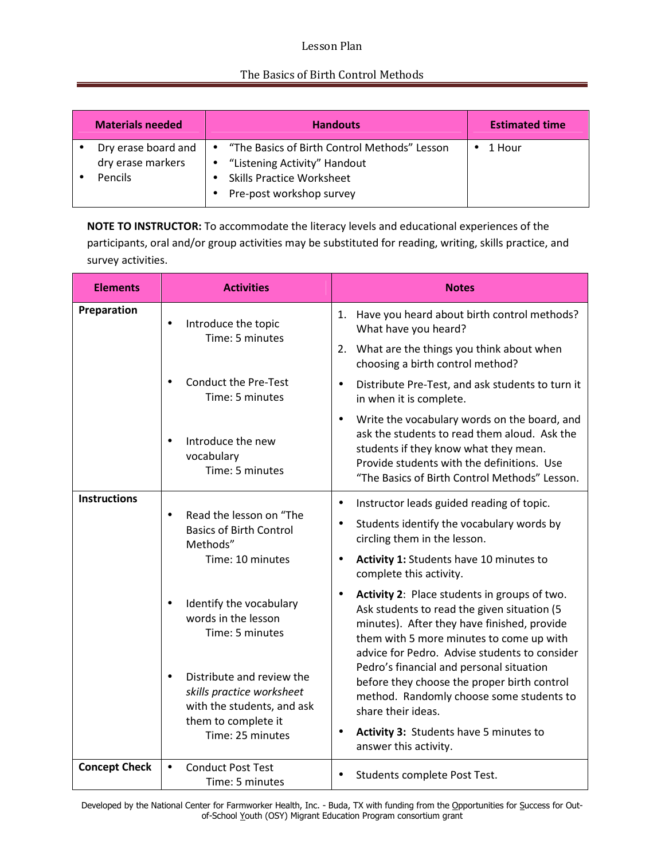### Lesson Plan

### The Basics of Birth Control Methods

| <b>Materials needed</b>                                    | <b>Handouts</b>                                                                                                                                             | <b>Estimated time</b> |
|------------------------------------------------------------|-------------------------------------------------------------------------------------------------------------------------------------------------------------|-----------------------|
| Dry erase board and<br>dry erase markers<br><b>Pencils</b> | "The Basics of Birth Control Methods" Lesson<br>$\bullet$<br>• "Listening Activity" Handout<br><b>Skills Practice Worksheet</b><br>Pre-post workshop survey | 1 Hour                |

**NOTE TO INSTRUCTOR:** To accommodate the literacy levels and educational experiences of the participants, oral and/or group activities may be substituted for reading, writing, skills practice, and survey activities.

| <b>Elements</b>      | <b>Activities</b>                                                                                                        | <b>Notes</b>                                                                                                                                                                                                                                                                                                                                                               |  |
|----------------------|--------------------------------------------------------------------------------------------------------------------------|----------------------------------------------------------------------------------------------------------------------------------------------------------------------------------------------------------------------------------------------------------------------------------------------------------------------------------------------------------------------------|--|
| Preparation          | Introduce the topic<br>$\bullet$<br>Time: 5 minutes                                                                      | 1. Have you heard about birth control methods?<br>What have you heard?                                                                                                                                                                                                                                                                                                     |  |
|                      |                                                                                                                          | 2. What are the things you think about when<br>choosing a birth control method?                                                                                                                                                                                                                                                                                            |  |
|                      | <b>Conduct the Pre-Test</b><br>Time: 5 minutes                                                                           | Distribute Pre-Test, and ask students to turn it<br>$\bullet$<br>in when it is complete.                                                                                                                                                                                                                                                                                   |  |
|                      | Introduce the new<br>$\bullet$<br>vocabulary<br>Time: 5 minutes                                                          | Write the vocabulary words on the board, and<br>$\bullet$<br>ask the students to read them aloud. Ask the<br>students if they know what they mean.<br>Provide students with the definitions. Use<br>"The Basics of Birth Control Methods" Lesson.                                                                                                                          |  |
| <b>Instructions</b>  | Read the lesson on "The<br>$\bullet$<br><b>Basics of Birth Control</b><br>Methods"<br>Time: 10 minutes                   | Instructor leads guided reading of topic.<br>$\bullet$<br>Students identify the vocabulary words by<br>$\bullet$<br>circling them in the lesson.<br>Activity 1: Students have 10 minutes to<br>$\bullet$                                                                                                                                                                   |  |
|                      | Identify the vocabulary<br>$\bullet$<br>words in the lesson<br>Time: 5 minutes<br>Distribute and review the<br>$\bullet$ | complete this activity.<br>Activity 2: Place students in groups of two.<br>$\bullet$<br>Ask students to read the given situation (5<br>minutes). After they have finished, provide<br>them with 5 more minutes to come up with<br>advice for Pedro. Advise students to consider<br>Pedro's financial and personal situation<br>before they choose the proper birth control |  |
|                      | skills practice worksheet<br>with the students, and ask<br>them to complete it<br>Time: 25 minutes                       | method. Randomly choose some students to<br>share their ideas.<br>Activity 3: Students have 5 minutes to<br>$\bullet$<br>answer this activity.                                                                                                                                                                                                                             |  |
| <b>Concept Check</b> | <b>Conduct Post Test</b><br>$\bullet$<br>Time: 5 minutes                                                                 | Students complete Post Test.<br>$\bullet$                                                                                                                                                                                                                                                                                                                                  |  |

Developed by the National Center for Farmworker Health, Inc. - Buda, TX with funding from the Opportunities for Success for Outof-School Youth (OSY) Migrant Education Program consortium grant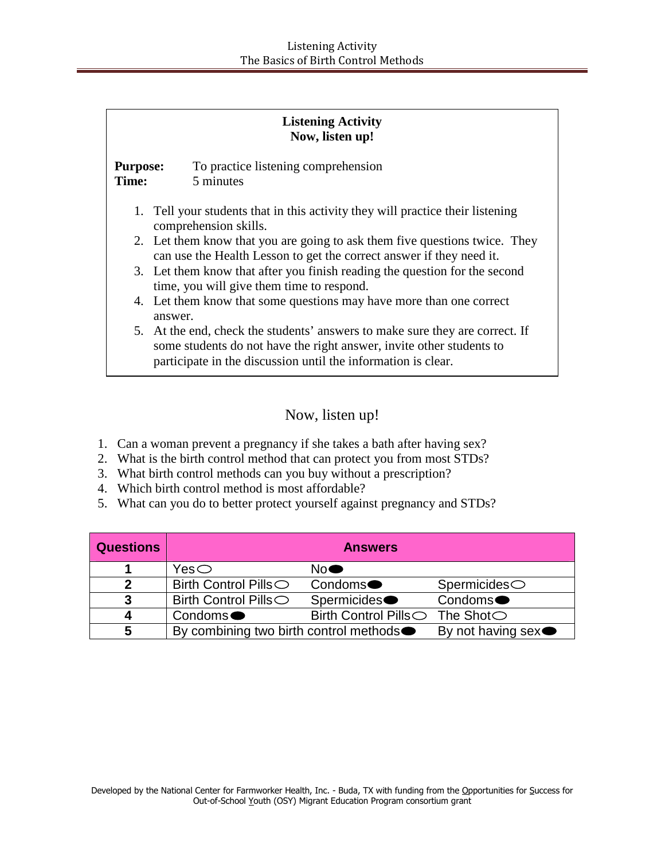|                                 | <b>Listening Activity</b><br>Now, listen up!                                                                                                                                                                          |  |
|---------------------------------|-----------------------------------------------------------------------------------------------------------------------------------------------------------------------------------------------------------------------|--|
| <b>Purpose:</b><br><b>Time:</b> | To practice listening comprehension<br>5 minutes                                                                                                                                                                      |  |
|                                 | 1. Tell your students that in this activity they will practice their listening<br>comprehension skills.                                                                                                               |  |
|                                 | 2. Let them know that you are going to ask them five questions twice. They<br>can use the Health Lesson to get the correct answer if they need it.                                                                    |  |
|                                 | 3. Let them know that after you finish reading the question for the second<br>time, you will give them time to respond.                                                                                               |  |
|                                 | 4. Let them know that some questions may have more than one correct<br>answer.                                                                                                                                        |  |
|                                 | 5. At the end, check the students' answers to make sure they are correct. If<br>some students do not have the right answer, invite other students to<br>participate in the discussion until the information is clear. |  |

# Now, listen up!

- 1. Can a woman prevent a pregnancy if she takes a bath after having sex?
- 2. What is the birth control method that can protect you from most STDs?
- 3. What birth control methods can you buy without a prescription?
- 4. Which birth control method is most affordable?
- 5. What can you do to better protect yourself against pregnancy and STDs?

| <b>Questions</b> | <b>Answers</b>                                      |                                  |                             |
|------------------|-----------------------------------------------------|----------------------------------|-----------------------------|
|                  | Yes $\subset$                                       | No <sup>•</sup>                  |                             |
| 2                | Birth Control Pills $\bigcirc$                      | Condoms <sup>•</sup>             | $Spermoides \bigcirc$       |
| 3                | <b>Birth Control Pills</b> ○                        | Spermicides●                     | Condoms <sup>•</sup>        |
|                  | Condoms <sup>•</sup>                                | Birth Control Pills ◯ The Shot ◯ |                             |
| 5                | By combining two birth control methods <sup>•</sup> |                                  | By not having sex $\bullet$ |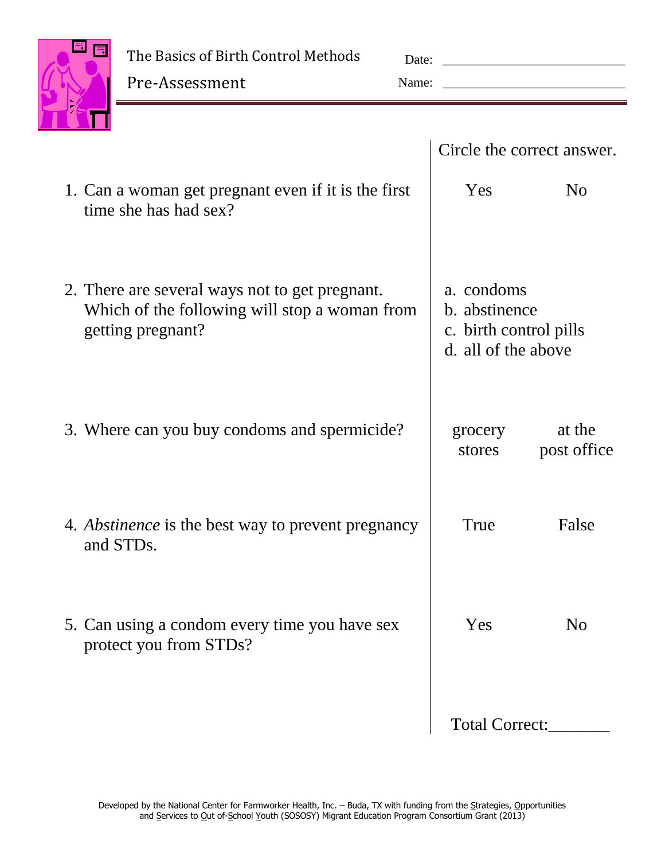

The Basics of Birth Control Methods

Pre-Assessment

| Date: |  |
|-------|--|
| Name: |  |

|                                                                                                                      | Circle the correct answer.                                                   |
|----------------------------------------------------------------------------------------------------------------------|------------------------------------------------------------------------------|
| 1. Can a woman get pregnant even if it is the first<br>time she has had sex?                                         | Yes<br>N <sub>0</sub>                                                        |
| 2. There are several ways not to get pregnant.<br>Which of the following will stop a woman from<br>getting pregnant? | a. condoms<br>b. abstinence<br>c. birth control pills<br>d. all of the above |
| 3. Where can you buy condoms and spermicide?                                                                         | at the<br>grocery<br>post office<br>stores                                   |
| 4. <i>Abstinence</i> is the best way to prevent pregnancy<br>and STD <sub>s</sub> .                                  | True<br>False                                                                |
| 5. Can using a condom every time you have sex<br>protect you from STDs?                                              | Yes<br>N <sub>0</sub>                                                        |
|                                                                                                                      | <b>Total Correct:</b>                                                        |